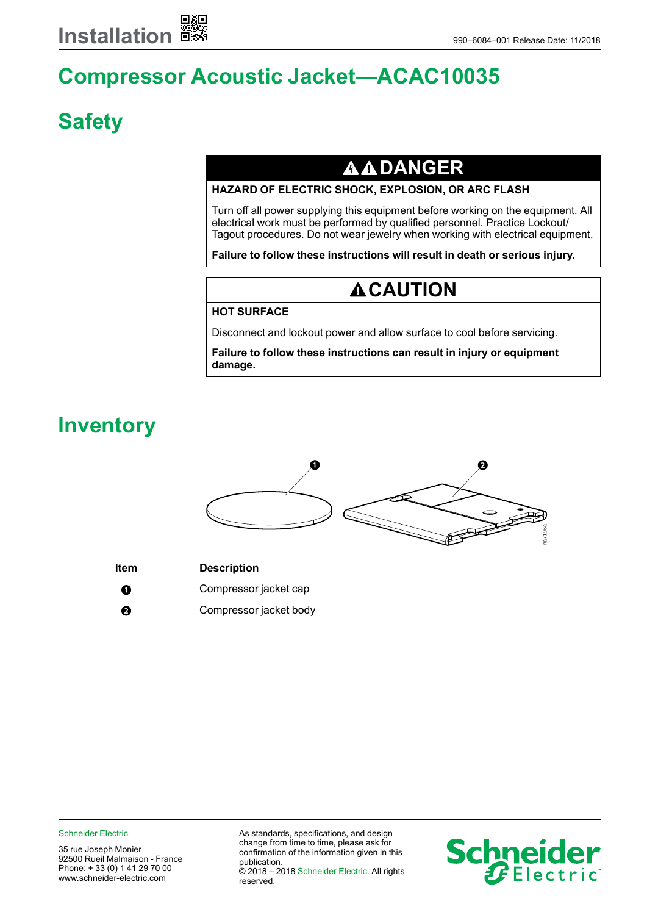# **Compressor Acoustic Jacket—ACAC10035**

# **Safety**

### **AADANGER**

#### **HAZARD OF ELECTRIC SHOCK, EXPLOSION, OR ARC FLASH**

Turn off all power supplying this equipment before working on the equipment. All electrical work must be performed by qualified personnel. Practice Lockout/ Tagout procedures. Do not wear jewelry when working with electrical equipment.

**Failure to follow these instructions will result in death or serious injury.**

### **ACAUTION**

#### **HOT SURFACE**

Disconnect and lockout power and allow surface to cool before servicing.

**Failure to follow these instructions can result in injury or equipment damage.**

## **Inventory**



| <b>Item</b> | <b>Description</b>     |
|-------------|------------------------|
| Œ           | Compressor jacket cap  |
| 0           | Compressor jacket body |

Schneider Electric **As standards**, specifications, and design change from time to time, please ask for confirmation of the information given in this publication. © 2018 – 2018 Schneider Electric. All rights reserved.

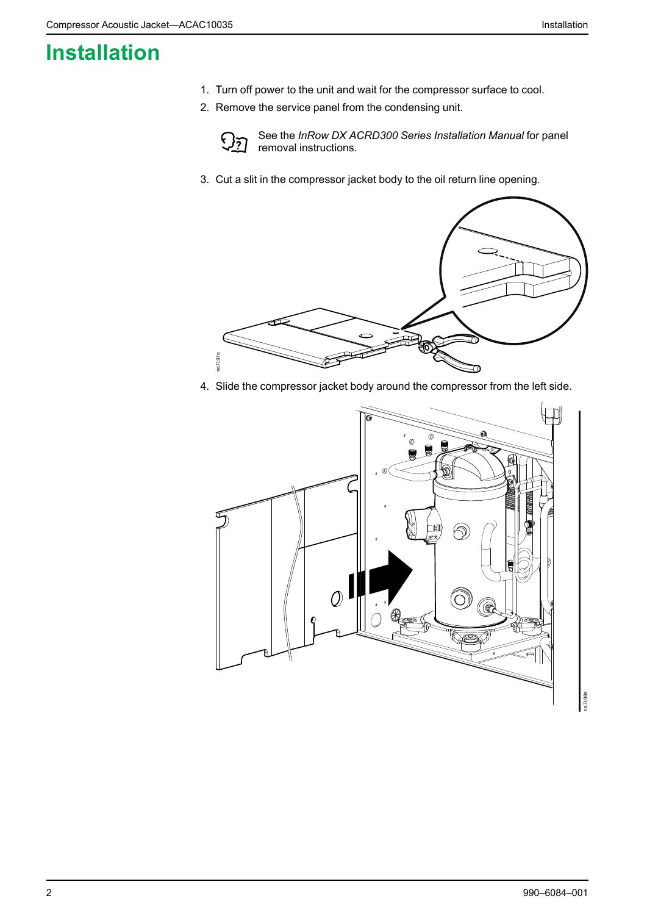## <span id="page-1-0"></span>**Installation**

- 1. Turn off power to the unit and wait for the compressor surface to cool.
- 2. Remove the service panel from the condensing unit.



See the *InRow DX ACRD300 Series Installation Manual* for panel removal instructions.

3. Cut a slit in the compressor jacket body to the oil return line opening.



4. Slide the compressor jacket body around the compressor from the left side.